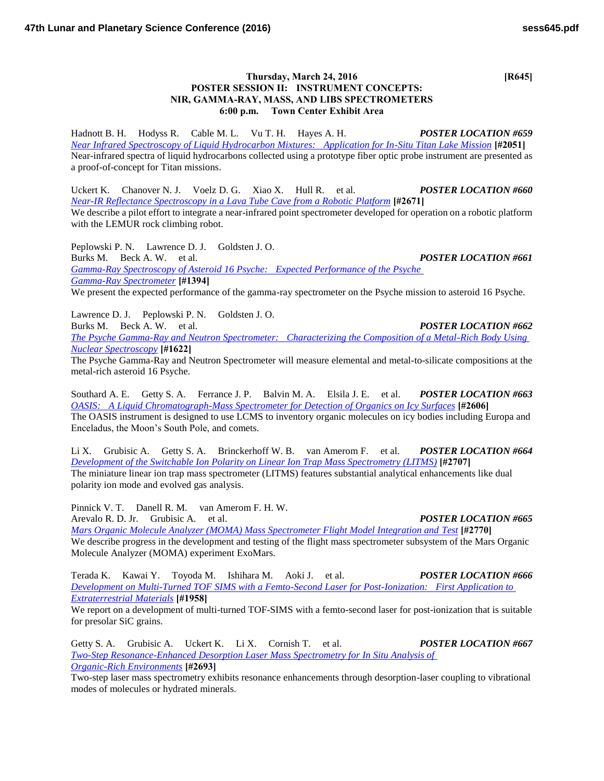## **Thursday, March 24, 2016 [R645] POSTER SESSION II: INSTRUMENT CONCEPTS: NIR, GAMMA-RAY, MASS, AND LIBS SPECTROMETERS 6:00 p.m. Town Center Exhibit Area**

Hadnott B. H. Hodyss R. Cable M. L. Vu T. H. Hayes A. H. *POSTER LOCATION #659 [Near Infrared Spectroscopy of Liquid Hydrocarbon Mixtures: Application for In-Situ Titan Lake Mission](http://www.hou.usra.edu/meetings/lpsc2016/pdf/2051.pdf)* **[#2051]** Near-infrared spectra of liquid hydrocarbons collected using a prototype fiber optic probe instrument are presented as a proof-of-concept for Titan missions.

Uckert K. Chanover N. J. Voelz D. G. Xiao X. Hull R. et al. *POSTER LOCATION #660 [Near-IR Reflectance Spectroscopy in a Lava Tube Cave from a Robotic Platform](http://www.hou.usra.edu/meetings/lpsc2016/pdf/2671.pdf)* **[#2671]** We describe a pilot effort to integrate a near-infrared point spectrometer developed for operation on a robotic platform with the LEMUR rock climbing robot.

Peplowski P. N. Lawrence D. J. Goldsten J. O. Burks M. Beck A. W. et al. *POSTER LOCATION #661 [Gamma-Ray Spectroscopy of Asteroid 16 Psyche: Expected Performance of the Psyche](http://www.hou.usra.edu/meetings/lpsc2016/pdf/1394.pdf)  [Gamma-Ray Spectrometer](http://www.hou.usra.edu/meetings/lpsc2016/pdf/1394.pdf)* **[#1394]** We present the expected performance of the gamma-ray spectrometer on the Psyche mission to asteroid 16 Psyche.

Lawrence D. J. Peplowski P. N. Goldsten J. O. Burks M. Beck A. W. et al. *POSTER LOCATION #662 [The Psyche Gamma-Ray and Neutron Spectrometer: Characterizing the Composition of a Metal-Rich Body Using](http://www.hou.usra.edu/meetings/lpsc2016/pdf/1622.pdf)  [Nuclear Spectroscopy](http://www.hou.usra.edu/meetings/lpsc2016/pdf/1622.pdf)* **[#1622]**

The Psyche Gamma-Ray and Neutron Spectrometer will measure elemental and metal-to-silicate compositions at the metal-rich asteroid 16 Psyche.

Southard A. E. Getty S. A. Ferrance J. P. Balvin M. A. Elsila J. E. et al. *POSTER LOCATION #663 [OASIS: A Liquid Chromatograph-Mass Spectrometer for Detection of Organics on Icy Surfaces](http://www.hou.usra.edu/meetings/lpsc2016/pdf/2606.pdf)* **[#2606]** The OASIS instrument is designed to use LCMS to inventory organic molecules on icy bodies including Europa and Enceladus, the Moon's South Pole, and comets.

Li X. Grubisic A. Getty S. A. Brinckerhoff W. B. van Amerom F. et al. *POSTER LOCATION #664 [Development of the Switchable Ion Polarity on Linear Ion Trap Mass Spectrometry \(LITMS\)](http://www.hou.usra.edu/meetings/lpsc2016/pdf/2707.pdf)* **[#2707]** The miniature linear ion trap mass spectrometer (LITMS) features substantial analytical enhancements like dual polarity ion mode and evolved gas analysis.

Pinnick V. T. Danell R. M. van Amerom F. H. W. Arevalo R. D. Jr. Grubisic A. et al. *POSTER LOCATION #665*

*[Mars Organic Molecule Analyzer \(MOMA\) Mass Spectrometer Flight Model Integration and Test](http://www.hou.usra.edu/meetings/lpsc2016/pdf/2770.pdf)* **[#2770]** We describe progress in the development and testing of the flight mass spectrometer subsystem of the Mars Organic Molecule Analyzer (MOMA) experiment ExoMars.

Terada K. Kawai Y. Toyoda M. Ishihara M. Aoki J. et al. *POSTER LOCATION #666 [Development on Multi-Turned TOF SIMS with a Femto-Second Laser for Post-Ionization: First Application to](http://www.hou.usra.edu/meetings/lpsc2016/pdf/1958.pdf)  [Extraterrestrial Materials](http://www.hou.usra.edu/meetings/lpsc2016/pdf/1958.pdf)* **[#1958]**

We report on a development of multi-turned TOF-SIMS with a femto-second laser for post-ionization that is suitable for presolar SiC grains.

Getty S. A. Grubisic A. Uckert K. Li X. Cornish T. et al. *POSTER LOCATION #667 [Two-Step Resonance-Enhanced Desorption Laser Mass Spectrometry for In Situ Analysis of](http://www.hou.usra.edu/meetings/lpsc2016/pdf/2693.pdf)  [Organic-Rich Environments](http://www.hou.usra.edu/meetings/lpsc2016/pdf/2693.pdf)* **[#2693]**

Two-step laser mass spectrometry exhibits resonance enhancements through desorption-laser coupling to vibrational modes of molecules or hydrated minerals.